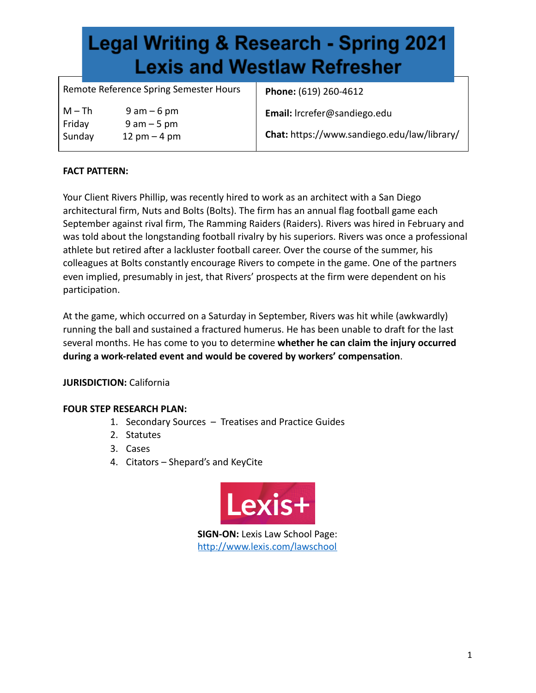Remote Reference Spring Semester Hours  $M - Th$  9 am – 6 pm Friday 9 am – 5 pm Sunday 12 pm – 4 pm  **Phone:** (619) 260-4612  **Email:** lrcrefer@sandiego.edu  **Chat:** https://www.sandiego.edu/law/library/

### **FACT PATTERN:**

Your Client Rivers Phillip, was recently hired to work as an architect with a San Diego architectural firm, Nuts and Bolts (Bolts). The firm has an annual flag football game each September against rival firm, The Ramming Raiders (Raiders). Rivers was hired in February and was told about the longstanding football rivalry by his superiors. Rivers was once a professional athlete but retired after a lackluster football career. Over the course of the summer, his colleagues at Bolts constantly encourage Rivers to compete in the game. One of the partners even implied, presumably in jest, that Rivers' prospects at the firm were dependent on his participation.

At the game, which occurred on a Saturday in September, Rivers was hit while (awkwardly) running the ball and sustained a fractured humerus. He has been unable to draft for the last several months. He has come to you to determine **whether he can claim the injury occurred during a work-related event and would be covered by workers' compensation** .

### **JURISDICTION:** California

### **FOUR STEP RESEARCH PLAN:**

- 1. Secondary Sources Treatises and Practice Guides
- 2. Statutes
- 3. Cases
- 4. Citators Shepard's and KeyCite



**SIGN-ON: Lexis Law School Page:** <http://www.lexis.com/lawschool>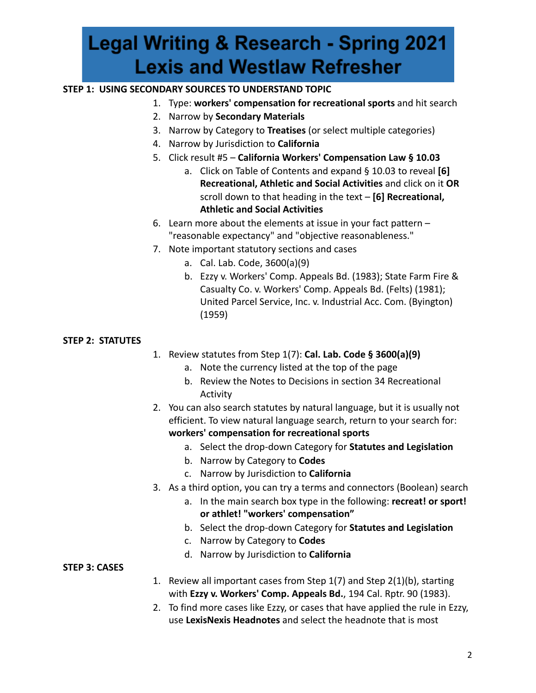### **STEP 1: USING SECONDARY SOURCES TO UNDERSTAND TOPIC**

- 1. Type: **workers' compensation for recreational sports** and hit search
- 2. Narrow by **Secondary Materials**
- 3. Narrow by Category to **Treatises** (or select multiple categories)
- 4. Narrow by Jurisdiction to **California**
- 5. Click result #5 **California Workers' Compensation Law § 10.03** 
	- a. Click on Table of Contents and expand § 10.03 to reveal **[6] Recreational, Athletic and Social Activities** and click on it **OR**  scroll down to that heading in the text – **[6] Recreational, Athletic and Social Activities**
- 6. Learn more about the elements at issue in your fact pattern "reasonable expectancy" and "objective reasonableness."
- 7. Note important statutory sections and cases
	- a. Cal. Lab. Code, 3600(a)(9)
	- b. Ezzy v. Workers' Comp. Appeals Bd. (1983); State Farm Fire & Casualty Co. v. Workers' Comp. Appeals Bd. (Felts) (1981); United Parcel Service, Inc. v. Industrial Acc. Com. (Byington) (1959)

### **STEP 2: STATUTES**

- 1. Review statutes from Step 1(7): **Cal. Lab. Code § 3600(a)(9)** 
	- a. Note the currency listed at the top of the page
	- b. Review the Notes to Decisions in section 34 Recreational Activity
- 2. You can also search statutes by natural language, but it is usually not efficient. To view natural language search, return to your search for: **workers' compensation for recreational sports** 
	- a. Select the drop-down Category for **Statutes and Legislation**
	- b. Narrow by Category to **Codes**
	- c. Narrow by Jurisdiction to **California**
- 3. As a third option, you can try a terms and connectors (Boolean) search
	- a. In the main search box type in the following: **recreat! or sport! or athlet! "workers' compensation"**
	- b. Select the drop-down Category for **Statutes and Legislation**
	- c. Narrow by Category to **Codes**
	- d. Narrow by Jurisdiction to **California**

### **STEP 3: CASES**

- 1. Review all important cases from Step 1(7) and Step 2(1)(b), starting with **Ezzy v. Workers' Comp. Appeals Bd.** , 194 Cal. Rptr. 90 (1983).
- 2. To find more cases like Ezzy, or cases that have applied the rule in Ezzy, use **LexisNexis Headnotes** and select the headnote that is most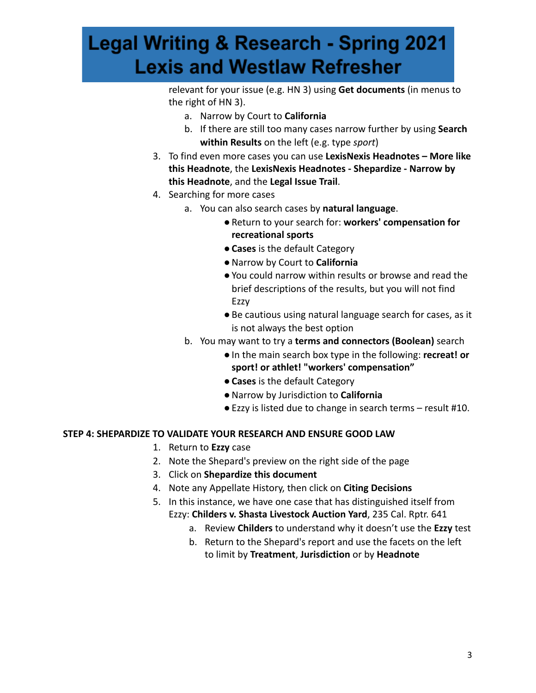relevant for your issue (e.g. HN 3) using **Get documents** (in menus to the right of HN 3).

- a. Narrow by Court to **California**
- b. If there are still too many cases narrow further by using **Search within Results** on the left (e.g. type *sport* )
- 3. To find even more cases you can use **LexisNexis Headnotes More like this Headnote** , the **LexisNexis Headnotes - Shepardize - Narrow by this Headnote** , and the **Legal Issue Trail** .
- 4. Searching for more cases
	- a. You can also search cases by **natural language** .
		- ●Return to your search for: **workers' compensation for recreational sports**
		- ●**Cases** is the default Category
		- ●Narrow by Court to **California**
		- ●You could narrow within results or browse and read the brief descriptions of the results, but you will not find Ezzy
		- Be cautious using natural language search for cases, as it is not always the best option
	- b. You may want to try a **terms and connectors (Boolean)** search
		- ●In the main search box type in the following: **recreat! or sport! or athlet! "workers' compensation"**
		- ●**Cases** is the default Category
		- ●Narrow by Jurisdiction to **California**
		- Ezzy is listed due to change in search terms result #10.

### **STEP 4: SHEPARDIZE TO VALIDATE YOUR RESEARCH AND ENSURE GOOD LAW**

- 1. Return to **Ezzy** case
- 2. Note the Shepard's preview on the right side of the page
- 3. Click on **Shepardize this document**
- 4. Note any Appellate History, then click on **Citing Decisions**
- 5. In this instance, we have one case that has distinguished itself from Ezzy: Childers v. Shasta Livestock Auction Yard, 235 Cal. Rptr. 641
	- a. Review **Childers** to understand why it doesn't use the **Ezzy** test
	- b. Return to the Shepard's report and use the facets on the left to limit by **Treatment** , **Jurisdiction** or by **Headnote**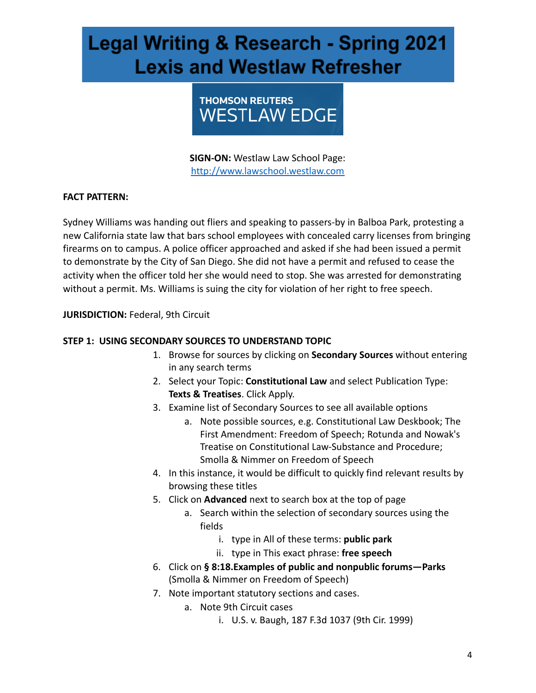

**SIGN-ON:** Westlaw Law School Page: [http://www.lawschool.westlaw.com](http://www.lawschool.westlaw.com/)

### **FACT PATTERN:**

Sydney Williams was handing out fliers and speaking to passers-by in Balboa Park, protesting a new California state law that bars school employees with concealed carry licenses from bringing firearms on to campus. A police officer approached and asked if she had been issued a permit to demonstrate by the City of San Diego. She did not have a permit and refused to cease the activity when the officer told her she would need to stop. She was arrested for demonstrating without a permit. Ms. Williams is suing the city for violation of her right to free speech.

**JURISDICTION: Federal, 9th Circuit** 

### **STEP 1: USING SECONDARY SOURCES TO UNDERSTAND TOPIC**

- 1. Browse for sources by clicking on **Secondary Sources** without entering in any search terms
- 2. Select your Topic: **Constitutional Law** and select Publication Type: **Texts & Treatises**. Click Apply.
- 3. Examine list of Secondary Sources to see all available options
	- a. Note possible sources, e.g. Constitutional Law Deskbook; The First Amendment: Freedom of Speech; Rotunda and Nowak's Treatise on Constitutional Law-Substance and Procedure; Smolla & Nimmer on Freedom of Speech
- 4. In this instance, it would be difficult to quickly find relevant results by browsing these titles
- 5. Click on **Advanced** next to search box at the top of page
	- a. Search within the selection of secondary sources using the fields
		- i. type in All of these terms: **public park**
		- ii. type in This exact phrase: **free speech**
- 6. Click on **§ 8:18.Examples of public and nonpublic forums—Parks**  (Smolla & Nimmer on Freedom of Speech)
- 7. Note important statutory sections and cases.
	- a. Note 9th Circuit cases
		- i. U.S. v. Baugh, 187 F.3d 1037 (9th Cir. 1999)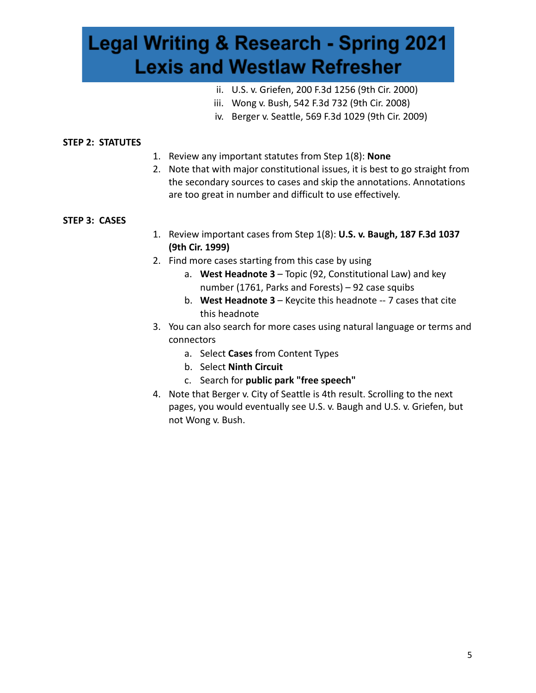- ii. U.S. v. Griefen, 200 F.3d 1256 (9th Cir. 2000)
- iii. Wong v. Bush, 542 F.3d 732 (9th Cir. 2008)
- iv. Berger v. Seattle, 569 F.3d 1029 (9th Cir. 2009)

#### **STEP 2: STATUTES**

- 1. Review any important statutes from Step 1(8): **None**
- 2. Note that with major constitutional issues, it is best to go straight from the secondary sources to cases and skip the annotations. Annotations are too great in number and difficult to use effectively.

#### **STEP 3: CASES**

- 1. Review important cases from Step 1(8): **U.S. v. Baugh, 187 F.3d 1037 (9th Cir. 1999)**
- 2. Find more cases starting from this case by using
	- a. **West Headnote 3**  Topic (92, Constitutional Law) and key number (1761, Parks and Forests) – 92 case squibs
	- b. **West Headnote 3**  Keycite this headnote -- 7 cases that cite this headnote
- 3. You can also search for more cases using natural language or terms and connectors
	- a. Select **Cases** from Content Types
	- b. Select **Ninth Circuit**
	- c. Search for **public park "free speech"**
- 4. Note that Berger v. City of Seattle is 4th result. Scrolling to the next pages, you would eventually see U.S. v. Baugh and U.S. v. Griefen, but not Wong v. Bush.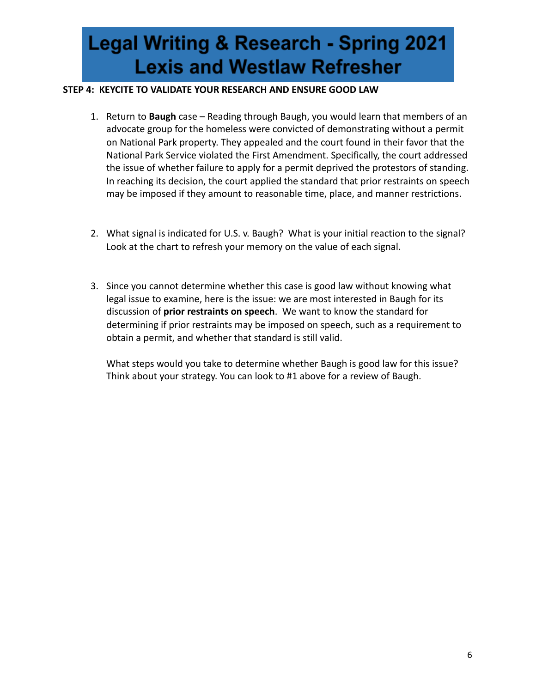#### **STEP 4: KEYCITE TO VALIDATE YOUR RESEARCH AND ENSURE GOOD LAW**

- 1. Return to **Baugh** case Reading through Baugh, you would learn that members of an advocate group for the homeless were convicted of demonstrating without a permit on National Park property. They appealed and the court found in their favor that the National Park Service violated the First Amendment. Specifically, the court addressed the issue of whether failure to apply for a permit deprived the protestors of standing. In reaching its decision, the court applied the standard that prior restraints on speech may be imposed if they amount to reasonable time, place, and manner restrictions.
- 2. What signal is indicated for U.S. v. Baugh? What is your initial reaction to the signal? Look at the chart to refresh your memory on the value of each signal.
- 3. Since you cannot determine whether this case is good law without knowing what legal issue to examine, here is the issue: we are most interested in Baugh for its discussion of **prior restraints on speech** . We want to know the standard for determining if prior restraints may be imposed on speech, such as a requirement to obtain a permit, and whether that standard is still valid.

What steps would you take to determine whether Baugh is good law for this issue? Think about your strategy. You can look to #1 above for a review of Baugh.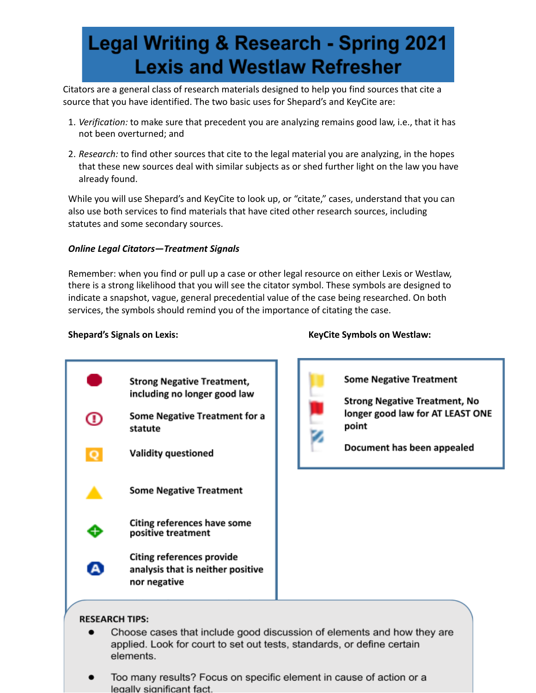Citators are a general class of research materials designed to help you find sources that cite a source that you have identified. The two basic uses for Shepard's and KeyCite are:

- 1. *Verification:* to make sure that precedent you are analyzing remains good law, i.e., that it has not been overturned; and
- 2. *Research:* to find other sources that cite to the legal material you are analyzing, in the hopes that these new sources deal with similar subjects as or shed further light on the law you have already found.

While you will use Shepard's and KeyCite to look up, or "citate," cases, understand that you can also use both services to find materials that have cited other research sources, including statutes and some secondary sources.

#### *Online Legal Citators—Treatment Signals*

Remember: when you find or pull up a case or other legal resource on either Lexis or Westlaw, there is a strong likelihood that you will see the citator symbol. These symbols are designed to indicate a snapshot, vague, general precedential value of the case being researched. On both services, the symbols should remind you of the importance of citating the case.

**Strong Negative Treatment,** including no longer good law **Some Negative Treatment for a** Œ statute **Validity questioned Some Negative Treatment Citing references have some** positive treatment **Citing references provide** A analysis that is neither positive nor negative



**Shepard's Signals on Lexis: KeyCite Symbols on Westlaw:**

**Some Negative Treatment Strong Negative Treatment, No** 

longer good law for AT LEAST ONE point

Document has been appealed

#### **RESEARCH TIPS:**

- Choose cases that include good discussion of elements and how they are applied. Look for court to set out tests, standards, or define certain elements.
- Too many results? Focus on specific element in cause of action or a legally significant fact.